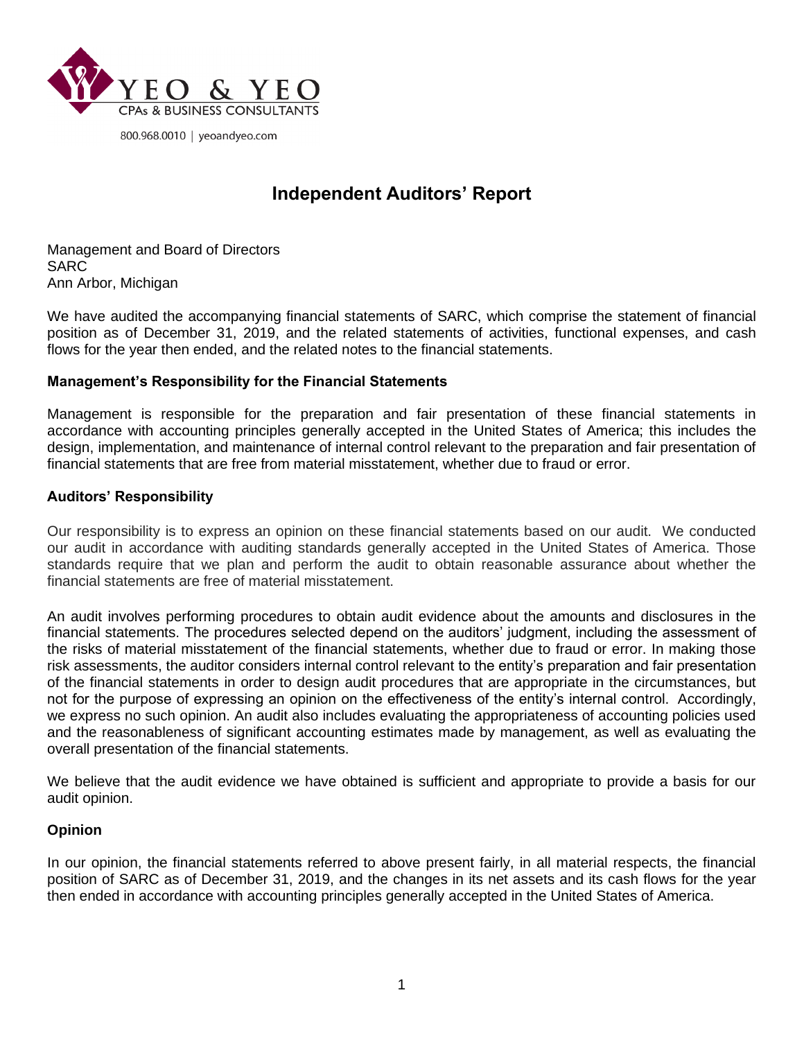

800.968.0010 | yeoandyeo.com

# **Independent Auditors' Report**

Management and Board of Directors SARC Ann Arbor, Michigan

We have audited the accompanying financial statements of SARC, which comprise the statement of financial position as of December 31, 2019, and the related statements of activities, functional expenses, and cash flows for the year then ended, and the related notes to the financial statements.

### **Management's Responsibility for the Financial Statements**

Management is responsible for the preparation and fair presentation of these financial statements in accordance with accounting principles generally accepted in the United States of America; this includes the design, implementation, and maintenance of internal control relevant to the preparation and fair presentation of financial statements that are free from material misstatement, whether due to fraud or error.

#### **Auditors' Responsibility**

Our responsibility is to express an opinion on these financial statements based on our audit. We conducted our audit in accordance with auditing standards generally accepted in the United States of America. Those standards require that we plan and perform the audit to obtain reasonable assurance about whether the financial statements are free of material misstatement.

An audit involves performing procedures to obtain audit evidence about the amounts and disclosures in the financial statements. The procedures selected depend on the auditors' judgment, including the assessment of the risks of material misstatement of the financial statements, whether due to fraud or error. In making those risk assessments, the auditor considers internal control relevant to the entity's preparation and fair presentation of the financial statements in order to design audit procedures that are appropriate in the circumstances, but not for the purpose of expressing an opinion on the effectiveness of the entity's internal control. Accordingly, we express no such opinion. An audit also includes evaluating the appropriateness of accounting policies used and the reasonableness of significant accounting estimates made by management, as well as evaluating the overall presentation of the financial statements.

We believe that the audit evidence we have obtained is sufficient and appropriate to provide a basis for our audit opinion.

#### **Opinion**

In our opinion, the financial statements referred to above present fairly, in all material respects, the financial position of SARC as of December 31, 2019, and the changes in its net assets and its cash flows for the year then ended in accordance with accounting principles generally accepted in the United States of America.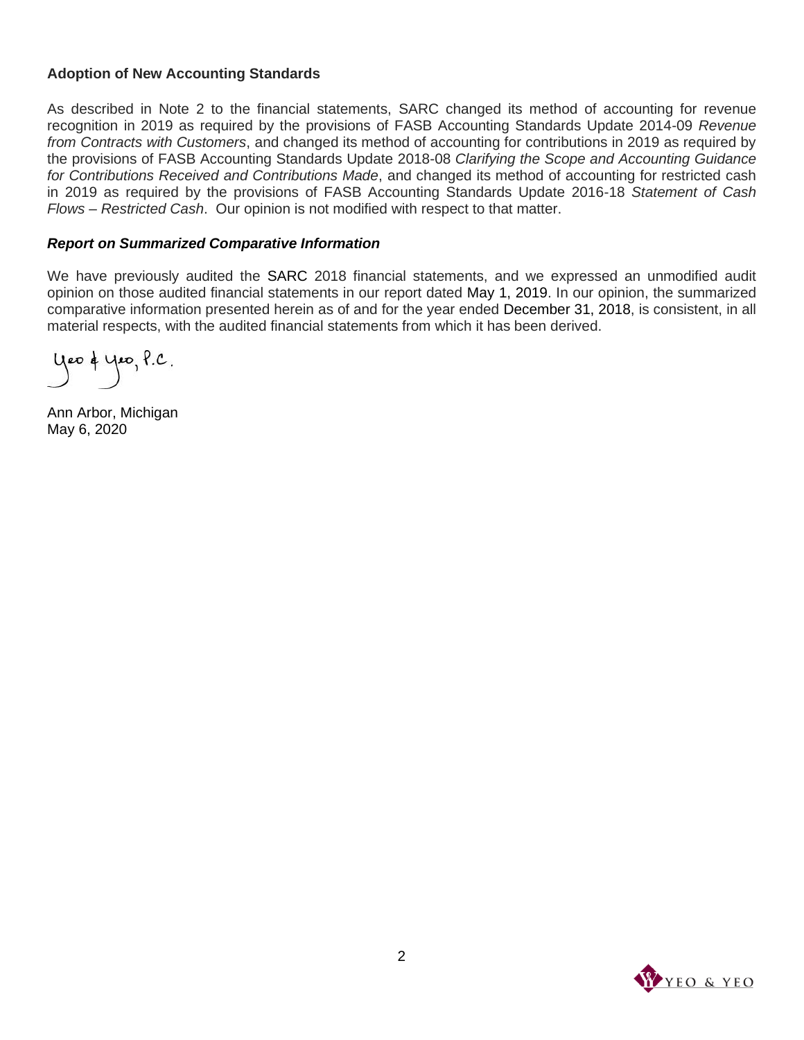### **Adoption of New Accounting Standards**

As described in Note 2 to the financial statements, SARC changed its method of accounting for revenue recognition in 2019 as required by the provisions of FASB Accounting Standards Update 2014-09 *Revenue from Contracts with Customers*, and changed its method of accounting for contributions in 2019 as required by the provisions of FASB Accounting Standards Update 2018-08 *Clarifying the Scope and Accounting Guidance for Contributions Received and Contributions Made*, and changed its method of accounting for restricted cash in 2019 as required by the provisions of FASB Accounting Standards Update 2016-18 *Statement of Cash Flows – Restricted Cash*. Our opinion is not modified with respect to that matter.

#### *Report on Summarized Comparative Information*

We have previously audited the SARC 2018 financial statements, and we expressed an unmodified audit opinion on those audited financial statements in our report dated May 1, 2019. In our opinion, the summarized comparative information presented herein as of and for the year ended December 31, 2018, is consistent, in all material respects, with the audited financial statements from which it has been derived.

yeo & yeo, P.C.

Ann Arbor, Michigan May 6, 2020

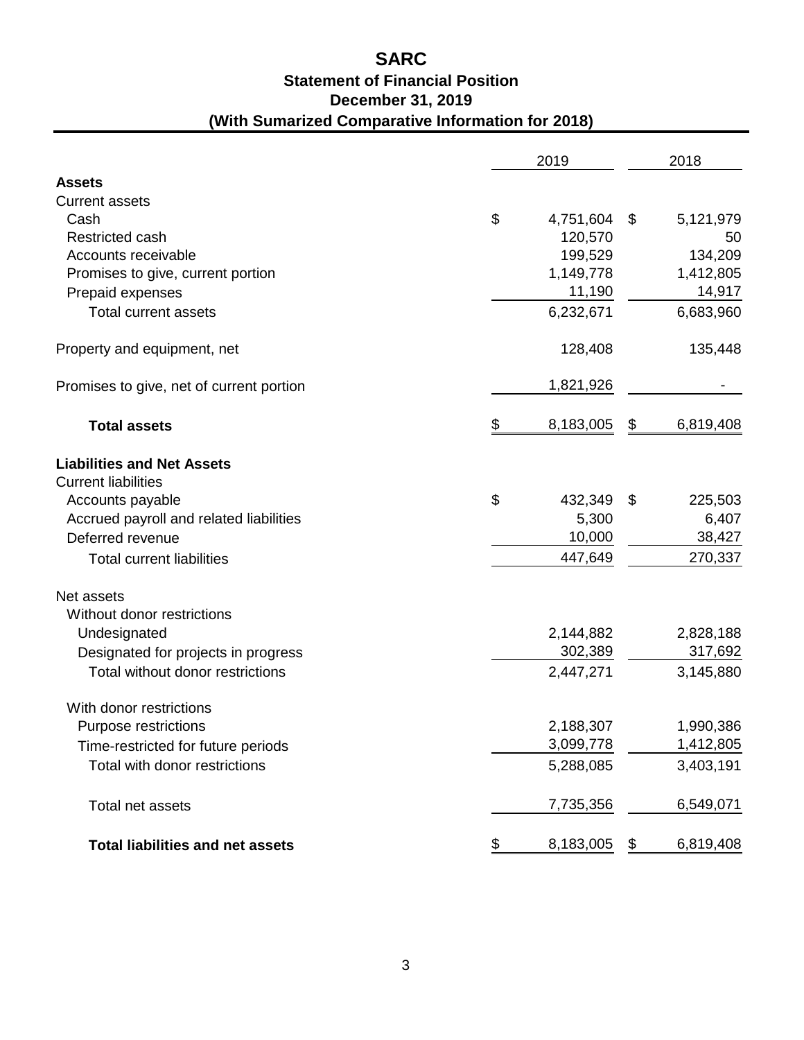## **(With Sumarized Comparative Information for 2018) Statement of Financial Position SARC December 31, 2019**

|                                          | 2019 |           |    | 2018      |  |  |
|------------------------------------------|------|-----------|----|-----------|--|--|
| <b>Assets</b>                            |      |           |    |           |  |  |
| <b>Current assets</b>                    |      |           |    |           |  |  |
| Cash                                     | \$   | 4,751,604 | \$ | 5,121,979 |  |  |
| Restricted cash                          |      | 120,570   |    | 50        |  |  |
| Accounts receivable                      |      | 199,529   |    | 134,209   |  |  |
| Promises to give, current portion        |      | 1,149,778 |    | 1,412,805 |  |  |
| Prepaid expenses                         |      | 11,190    |    | 14,917    |  |  |
| <b>Total current assets</b>              |      | 6,232,671 |    | 6,683,960 |  |  |
| Property and equipment, net              |      | 128,408   |    | 135,448   |  |  |
| Promises to give, net of current portion |      | 1,821,926 |    |           |  |  |
| <b>Total assets</b>                      | \$   | 8,183,005 | \$ | 6,819,408 |  |  |
| <b>Liabilities and Net Assets</b>        |      |           |    |           |  |  |
| <b>Current liabilities</b>               |      |           |    |           |  |  |
| Accounts payable                         | \$   | 432,349   | \$ | 225,503   |  |  |
| Accrued payroll and related liabilities  |      | 5,300     |    | 6,407     |  |  |
| Deferred revenue                         |      | 10,000    |    | 38,427    |  |  |
| <b>Total current liabilities</b>         |      | 447,649   |    | 270,337   |  |  |
| Net assets                               |      |           |    |           |  |  |
| Without donor restrictions               |      |           |    |           |  |  |
| Undesignated                             |      | 2,144,882 |    | 2,828,188 |  |  |
| Designated for projects in progress      |      | 302,389   |    | 317,692   |  |  |
| Total without donor restrictions         |      | 2,447,271 |    | 3,145,880 |  |  |
| With donor restrictions                  |      |           |    |           |  |  |
| Purpose restrictions                     |      | 2,188,307 |    | 1,990,386 |  |  |
| Time-restricted for future periods       |      | 3,099,778 |    | 1,412,805 |  |  |
| Total with donor restrictions            |      | 5,288,085 |    | 3,403,191 |  |  |
| Total net assets                         |      | 7,735,356 |    | 6,549,071 |  |  |
| <b>Total liabilities and net assets</b>  | \$   | 8,183,005 | \$ | 6,819,408 |  |  |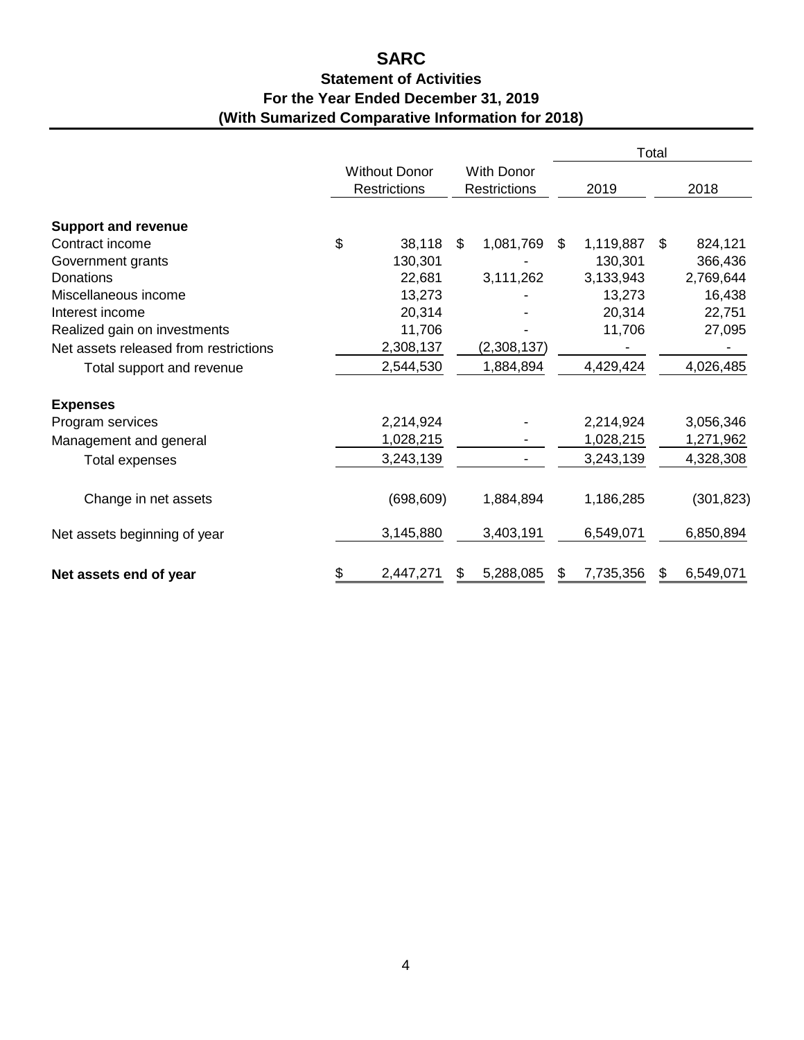### **(With Sumarized Comparative Information for 2018) Statement of Activities SARC For the Year Ended December 31, 2019**

|                                       | <b>Without Donor</b><br><b>Restrictions</b> |            |                                          | Total       |      |           |    |            |
|---------------------------------------|---------------------------------------------|------------|------------------------------------------|-------------|------|-----------|----|------------|
|                                       |                                             |            | <b>With Donor</b><br><b>Restrictions</b> |             | 2019 |           |    | 2018       |
| <b>Support and revenue</b>            |                                             |            |                                          |             |      |           |    |            |
| Contract income                       | \$                                          | 38,118     | \$                                       | 1,081,769   | \$.  | 1,119,887 | \$ | 824,121    |
| Government grants                     |                                             | 130,301    |                                          |             |      | 130,301   |    | 366,436    |
| Donations                             |                                             | 22,681     |                                          | 3,111,262   |      | 3,133,943 |    | 2,769,644  |
| Miscellaneous income                  |                                             | 13,273     |                                          |             |      | 13,273    |    | 16,438     |
| Interest income                       |                                             | 20,314     |                                          |             |      | 20,314    |    | 22,751     |
| Realized gain on investments          |                                             | 11,706     |                                          |             |      | 11,706    |    | 27,095     |
| Net assets released from restrictions |                                             | 2,308,137  |                                          | (2,308,137) |      |           |    |            |
| Total support and revenue             |                                             | 2,544,530  |                                          | 1,884,894   |      | 4,429,424 |    | 4,026,485  |
| <b>Expenses</b>                       |                                             |            |                                          |             |      |           |    |            |
| Program services                      |                                             | 2,214,924  |                                          |             |      | 2,214,924 |    | 3,056,346  |
| Management and general                |                                             | 1,028,215  |                                          |             |      | 1,028,215 |    | 1,271,962  |
| Total expenses                        |                                             | 3,243,139  |                                          |             |      | 3,243,139 |    | 4,328,308  |
| Change in net assets                  |                                             | (698, 609) |                                          | 1,884,894   |      | 1,186,285 |    | (301, 823) |
| Net assets beginning of year          |                                             | 3,145,880  |                                          | 3,403,191   |      | 6,549,071 |    | 6,850,894  |
| Net assets end of year                | \$                                          | 2,447,271  |                                          | 5,288,085   | \$   | 7,735,356 | £. | 6,549,071  |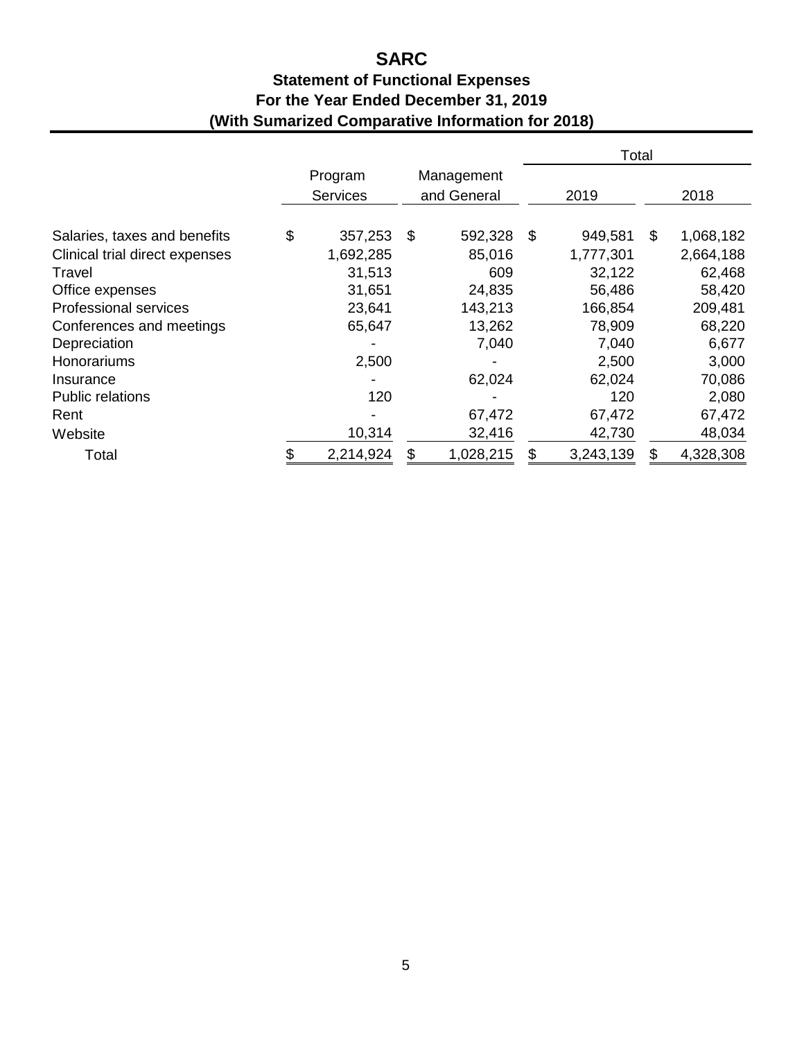# **SARC**

### **(With Sumarized Comparative Information for 2018) Statement of Functional Expenses For the Year Ended December 31, 2019**

|                                |                            |                           |           |      | Total     |    |           |
|--------------------------------|----------------------------|---------------------------|-----------|------|-----------|----|-----------|
|                                | Program<br><b>Services</b> | Management<br>and General |           | 2019 |           |    | 2018      |
| Salaries, taxes and benefits   | \$<br>357,253              | \$                        | 592,328   | S    | 949,581   | \$ | 1,068,182 |
| Clinical trial direct expenses | 1,692,285                  |                           | 85,016    |      | 1,777,301 |    | 2,664,188 |
| Travel                         | 31,513                     |                           | 609       |      | 32,122    |    | 62,468    |
| Office expenses                | 31,651                     |                           | 24,835    |      | 56,486    |    | 58,420    |
| <b>Professional services</b>   | 23,641                     |                           | 143,213   |      | 166,854   |    | 209,481   |
| Conferences and meetings       | 65,647                     |                           | 13,262    |      | 78,909    |    | 68,220    |
| Depreciation                   |                            |                           | 7,040     |      | 7,040     |    | 6,677     |
| Honorariums                    | 2,500                      |                           |           |      | 2,500     |    | 3,000     |
| Insurance                      |                            |                           | 62,024    |      | 62,024    |    | 70,086    |
| <b>Public relations</b>        | 120                        |                           |           |      | 120       |    | 2,080     |
| Rent                           |                            |                           | 67,472    |      | 67,472    |    | 67,472    |
| Website                        | 10,314                     |                           | 32,416    |      | 42,730    |    | 48,034    |
| Total                          | 2,214,924                  | \$                        | 1,028,215 | \$   | 3,243,139 | \$ | 4,328,308 |